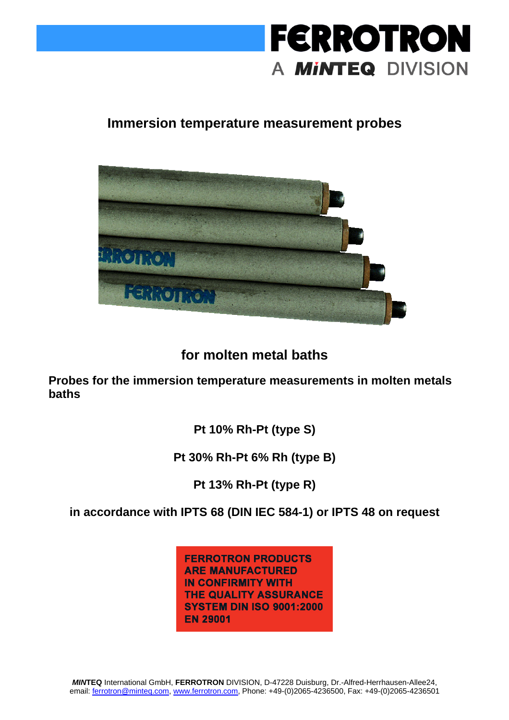

### **Immersion temperature measurement probes**



### **for molten metal baths**

**Probes for the immersion temperature measurements in molten metals baths** 

**Pt 10% Rh-Pt (type S)** 

**Pt 30% Rh-Pt 6% Rh (type B)** 

**Pt 13% Rh-Pt (type R)** 

**in accordance with IPTS 68 (DIN IEC 584-1) or IPTS 48 on request** 

**FERROTRON PRODUCTS ARE MANUFACTURED IN CONFIRMITY WITH** THE QUALITY ASSURANCE **SYSTEM DIN ISO 9001:2000 EN 29001**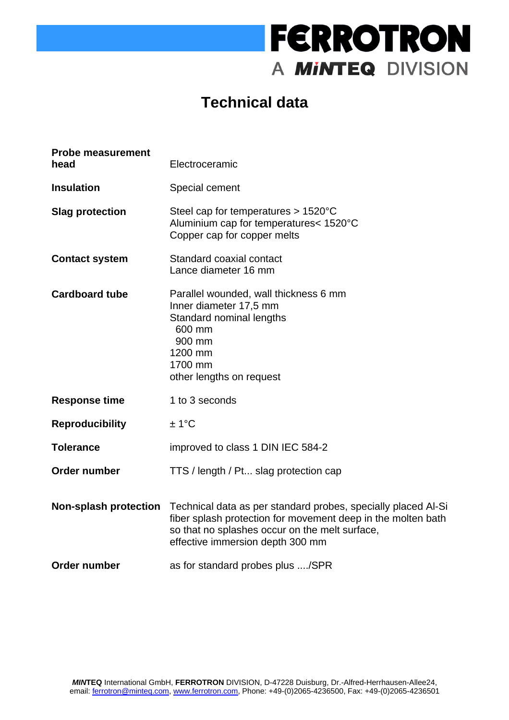# **FERROTRON** A MINTEQ DIVISION

## **Technical data**

| <b>Probe measurement</b><br>head | Electroceramic                                                                                                                                                                                                      |  |  |
|----------------------------------|---------------------------------------------------------------------------------------------------------------------------------------------------------------------------------------------------------------------|--|--|
| <b>Insulation</b>                | Special cement                                                                                                                                                                                                      |  |  |
| <b>Slag protection</b>           | Steel cap for temperatures $> 1520^{\circ}$ C<br>Aluminium cap for temperatures< 1520°C<br>Copper cap for copper melts                                                                                              |  |  |
| <b>Contact system</b>            | Standard coaxial contact<br>Lance diameter 16 mm                                                                                                                                                                    |  |  |
| <b>Cardboard tube</b>            | Parallel wounded, wall thickness 6 mm<br>Inner diameter 17,5 mm<br>Standard nominal lengths<br>600 mm<br>900 mm<br>1200 mm<br>1700 mm<br>other lengths on request                                                   |  |  |
| <b>Response time</b>             | 1 to 3 seconds                                                                                                                                                                                                      |  |  |
| <b>Reproducibility</b>           | ±1°C                                                                                                                                                                                                                |  |  |
| <b>Tolerance</b>                 | improved to class 1 DIN IEC 584-2                                                                                                                                                                                   |  |  |
| Order number                     | TTS / length / Pt slag protection cap                                                                                                                                                                               |  |  |
| <b>Non-splash protection</b>     | Technical data as per standard probes, specially placed AI-Si<br>fiber splash protection for movement deep in the molten bath<br>so that no splashes occur on the melt surface,<br>effective immersion depth 300 mm |  |  |
| <b>Order number</b>              | as for standard probes plus /SPR                                                                                                                                                                                    |  |  |